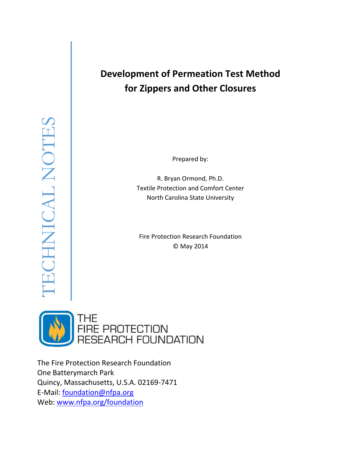# **Development of Permeation Test Method for Zippers and Other Closures**

Prepared by:

R. Bryan Ormond, Ph.D. Textile Protection and Comfort Center North Carolina State University

Fire Protection Research Foundation © May 2014



The Fire Protection Research Foundation One Batterymarch Park Quincy, Massachusetts, U.S.A. 02169-7471 E-Mail: [foundation@nfpa.org](mailto:foundation@nfpa.org) Web: [www.nfpa.org/foundation](http://www.nfpa.org/foundation)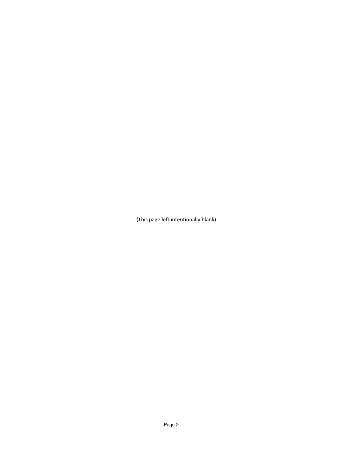(This page left intentionally blank)

 $\longrightarrow$  Page 2  $\longrightarrow$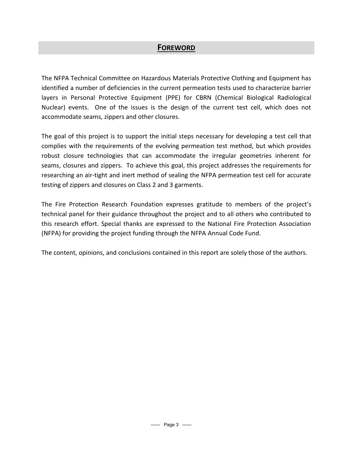### **FOREWORD**

The NFPA Technical Committee on Hazardous Materials Protective Clothing and Equipment has identified a number of deficiencies in the current permeation tests used to characterize barrier layers in Personal Protective Equipment (PPE) for CBRN (Chemical Biological Radiological Nuclear) events. One of the issues is the design of the current test cell, which does not accommodate seams, zippers and other closures.

The goal of this project is to support the initial steps necessary for developing a test cell that complies with the requirements of the evolving permeation test method, but which provides robust closure technologies that can accommodate the irregular geometries inherent for seams, closures and zippers. To achieve this goal, this project addresses the requirements for researching an air-tight and inert method of sealing the NFPA permeation test cell for accurate testing of zippers and closures on Class 2 and 3 garments.

The Fire Protection Research Foundation expresses gratitude to members of the project's technical panel for their guidance throughout the project and to all others who contributed to this research effort. Special thanks are expressed to the National Fire Protection Association (NFPA) for providing the project funding through the NFPA Annual Code Fund.

The content, opinions, and conclusions contained in this report are solely those of the authors.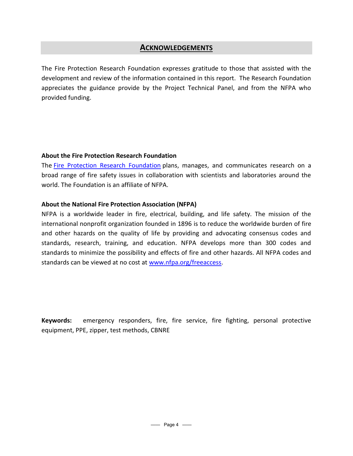#### **ACKNOWLEDGEMENTS**

The Fire Protection Research Foundation expresses gratitude to those that assisted with the development and review of the information contained in this report. The Research Foundation appreciates the guidance provide by the Project Technical Panel, and from the NFPA who provided funding.

#### **About the Fire Protection Research Foundation**

The [Fire Protection Research Foundation](http://www.nfpa.org/research/fire-protection-research-foundation) plans, manages, and communicates research on a broad range of fire safety issues in collaboration with scientists and laboratories around the world. The Foundation is an affiliate of NFPA.

#### **About the National Fire Protection Association (NFPA)**

NFPA is a worldwide leader in fire, electrical, building, and life safety. The mission of the international nonprofit organization founded in 1896 is to reduce the worldwide burden of fire and other hazards on the quality of life by providing and advocating consensus codes and standards, research, training, and education. NFPA develops more than 300 codes and standards to minimize the possibility and effects of fire and other hazards. All NFPA codes and standards can be viewed at no cost at [www.nfpa.org/freeaccess.](http://www.nfpa.org/freeaccess)

**Keywords:** emergency responders, fire, fire service, fire fighting, personal protective equipment, PPE, zipper, test methods, CBNRE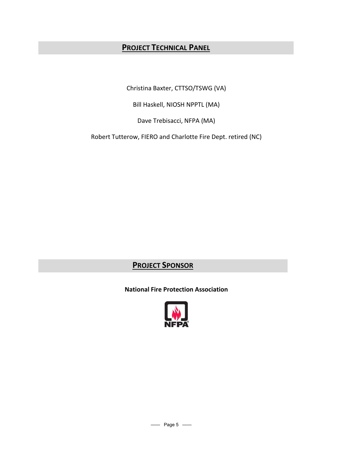## **PROJECT TECHNICAL PANEL**

Christina Baxter, CTTSO/TSWG (VA)

Bill Haskell, NIOSH NPPTL (MA)

Dave Trebisacci, NFPA (MA)

Robert Tutterow, FIERO and Charlotte Fire Dept. retired (NC)

## **PROJECT SPONSOR**

**National Fire Protection Association** 



 $-$  Page 5  $-$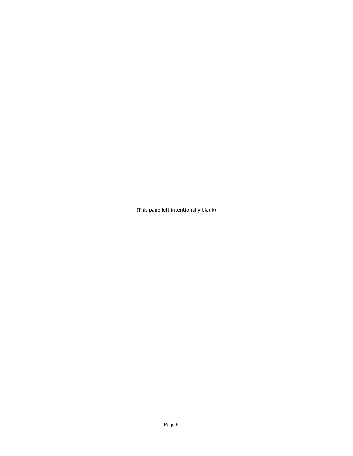(This page left intentionally blank)

 $\longrightarrow$  Page 6  $\longrightarrow$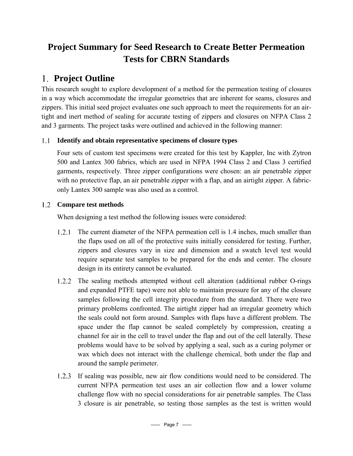# **Project Summary for Seed Research to Create Better Permeation Tests for CBRN Standards**

# **Project Outline**

This research sought to explore development of a method for the permeation testing of closures in a way which accommodate the irregular geometries that are inherent for seams, closures and zippers. This initial seed project evaluates one such approach to meet the requirements for an airtight and inert method of sealing for accurate testing of zippers and closures on NFPA Class 2 and 3 garments. The project tasks were outlined and achieved in the following manner:

## **Identify and obtain representative specimens of closure types**

Four sets of custom test specimens were created for this test by Kappler, Inc with Zytron 500 and Lantex 300 fabrics, which are used in NFPA 1994 Class 2 and Class 3 certified garments, respectively. Three zipper configurations were chosen: an air penetrable zipper with no protective flap, an air penetrable zipper with a flap, and an airtight zipper. A fabriconly Lantex 300 sample was also used as a control.

## **Compare test methods**

When designing a test method the following issues were considered:

- The current diameter of the NFPA permeation cell is 1.4 inches, much smaller than  $1.2.1$ the flaps used on all of the protective suits initially considered for testing. Further, zippers and closures vary in size and dimension and a swatch level test would require separate test samples to be prepared for the ends and center. The closure design in its entirety cannot be evaluated.
- 1.2.2 The sealing methods attempted without cell alteration (additional rubber O-rings and expanded PTFE tape) were not able to maintain pressure for any of the closure samples following the cell integrity procedure from the standard. There were two primary problems confronted. The airtight zipper had an irregular geometry which the seals could not form around. Samples with flaps have a different problem. The space under the flap cannot be sealed completely by compression, creating a channel for air in the cell to travel under the flap and out of the cell laterally. These problems would have to be solved by applying a seal, such as a curing polymer or wax which does not interact with the challenge chemical, both under the flap and around the sample perimeter.
- <span id="page-6-0"></span>1.2.3 If sealing was possible, new air flow conditions would need to be considered. The current NFPA permeation test uses an air collection flow and a lower volume challenge flow with no special considerations for air penetrable samples. The Class 3 closure is air penetrable, so testing those samples as the test is written would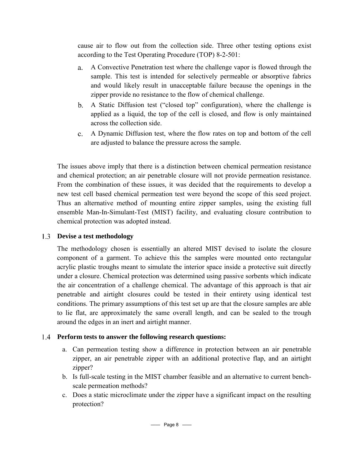cause air to flow out from the collection side. Three other testing options exist according to the Test Operating Procedure (TOP) 8-2-501:

- A Convective Penetration test where the challenge vapor is flowed through the sample. This test is intended for selectively permeable or absorptive fabrics and would likely result in unacceptable failure because the openings in the zipper provide no resistance to the flow of chemical challenge.
- A Static Diffusion test ("closed top" configuration), where the challenge is applied as a liquid, the top of the cell is closed, and flow is only maintained across the collection side.
- A Dynamic Diffusion test, where the flow rates on top and bottom of the cell are adjusted to balance the pressure across the sample.

The issues above imply that there is a distinction between chemical permeation resistance and chemical protection; an air penetrable closure will not provide permeation resistance. From the combination of these issues, it was decided that the requirements to develop a new test cell based chemical permeation test were beyond the scope of this seed project. Thus an alternative method of mounting entire zipper samples, using the existing full ensemble Man-In-Simulant-Test (MIST) facility, and evaluating closure contribution to chemical protection was adopted instead.

#### **Devise a test methodology**

The methodology chosen is essentially an altered MIST devised to isolate the closure component of a garment. To achieve this the samples were mounted onto rectangular acrylic plastic troughs meant to simulate the interior space inside a protective suit directly under a closure. Chemical protection was determined using passive sorbents which indicate the air concentration of a challenge chemical. The advantage of this approach is that air penetrable and airtight closures could be tested in their entirety using identical test conditions. The primary assumptions of this test set up are that the closure samples are able to lie flat, are approximately the same overall length, and can be sealed to the trough around the edges in an inert and airtight manner.

### **Perform tests to answer the following research questions:**

- a. Can permeation testing show a difference in protection between an air penetrable zipper, an air penetrable zipper with an additional protective flap, and an airtight zipper?
- b. Is full-scale testing in the MIST chamber feasible and an alternative to current benchscale permeation methods?
- c. Does a static microclimate under the zipper have a significant impact on the resulting protection?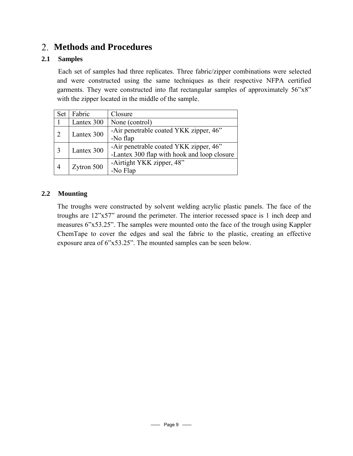## **Methods and Procedures**

## **2.1 Samples**

Each set of samples had three replicates. Three fabric/zipper combinations were selected and were constructed using the same techniques as their respective NFPA certified garments. They were constructed into flat rectangular samples of approximately 56"x8" with the zipper located in the middle of the sample.

| Set           | Fabric     | Closure                                                                               |
|---------------|------------|---------------------------------------------------------------------------------------|
|               | Lantex 300 | None (control)                                                                        |
| $\mathcal{L}$ | Lantex 300 | -Air penetrable coated YKK zipper, 46"<br>-No flap                                    |
| 3             | Lantex 300 | -Air penetrable coated YKK zipper, 46"<br>-Lantex 300 flap with hook and loop closure |
| 4             | Zytron 500 | -Airtight YKK zipper, 48"<br>-No Flap                                                 |

### **2.2 Mounting**

The troughs were constructed by solvent welding acrylic plastic panels. The face of the troughs are 12"x57" around the perimeter. The interior recessed space is 1 inch deep and measures 6"x53.25". The samples were mounted onto the face of the trough using Kappler ChemTape to cover the edges and seal the fabric to the plastic, creating an effective exposure area of 6"x53.25". The mounted samples can be seen below.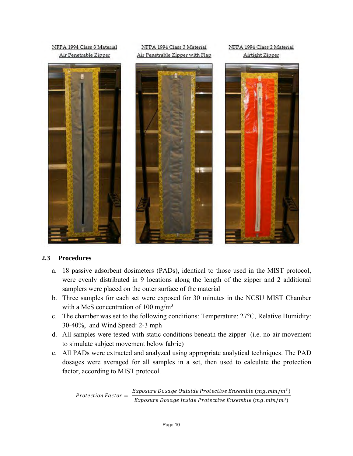

#### **2.3 Procedures**

- a. 18 passive adsorbent dosimeters (PADs), identical to those used in the MIST protocol, were evenly distributed in 9 locations along the length of the zipper and 2 additional samplers were placed on the outer surface of the material
- b. Three samples for each set were exposed for 30 minutes in the NCSU MIST Chamber with a MeS concentration of  $100 \text{ mg/m}^3$
- c. The chamber was set to the following conditions: Temperature: 27°C, Relative Humidity: 30-40%, and Wind Speed: 2-3 mph
- d. All samples were tested with static conditions beneath the zipper (i.e. no air movement to simulate subject movement below fabric)
- e. All PADs were extracted and analyzed using appropriate analytical techniques. The PAD dosages were averaged for all samples in a set, then used to calculate the protection factor, according to MIST protocol.

 $Protection Factor =$ Exposure Dosage Outside Protective Ensemble  $(mg.\textit{min}/m^3)$ Exposure Dosage Inside Protective Ensemble  $(mg.min/m^3)$ 

 $-$  Page 10  $-$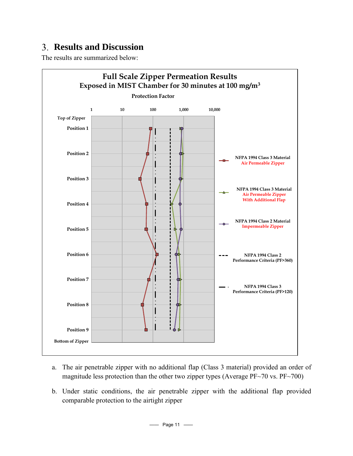## **Results and Discussion**

The results are summarized below:



- a. The air penetrable zipper with no additional flap (Class 3 material) provided an order of magnitude less protection than the other two zipper types (Average PF~70 vs. PF~700)
- b. Under static conditions, the air penetrable zipper with the additional flap provided comparable protection to the airtight zipper